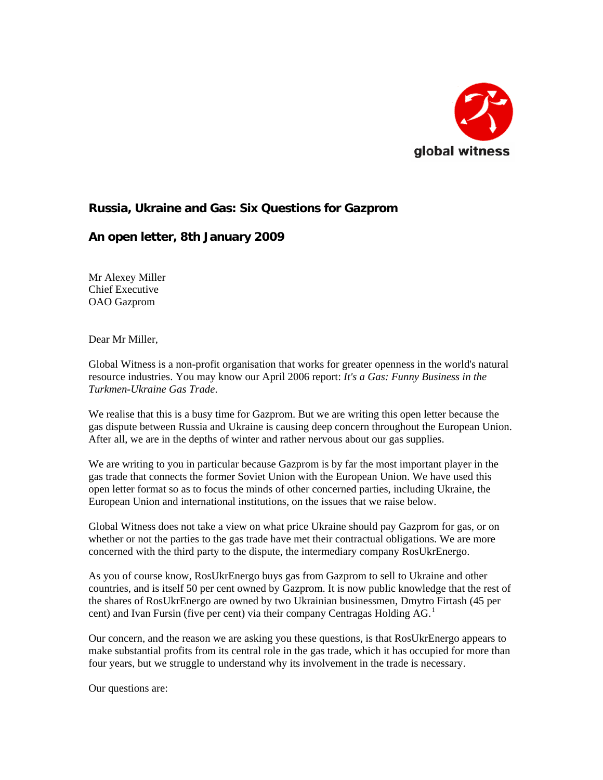

## **Russia, Ukraine and Gas: Six Questions for Gazprom**

## **An open letter, 8th January 2009**

Mr Alexey Miller Chief Executive OAO Gazprom

Dear Mr Miller,

Global Witness is a non-profit organisation that works for greater openness in the world's natural resource industries. You may know our April 2006 report: *It's a Gas: Funny Business in the Turkmen-Ukraine Gas Trade*.

We realise that this is a busy time for Gazprom. But we are writing this open letter because the gas dispute between Russia and Ukraine is causing deep concern throughout the European Union. After all, we are in the depths of winter and rather nervous about our gas supplies.

We are writing to you in particular because Gazprom is by far the most important player in the gas trade that connects the former Soviet Union with the European Union. We have used this open letter format so as to focus the minds of other concerned parties, including Ukraine, the European Union and international institutions, on the issues that we raise below.

Global Witness does not take a view on what price Ukraine should pay Gazprom for gas, or on whether or not the parties to the gas trade have met their contractual obligations. We are more concerned with the third party to the dispute, the intermediary company RosUkrEnergo.

As you of course know, RosUkrEnergo buys gas from Gazprom to sell to Ukraine and other countries, and is itself 50 per cent owned by Gazprom. It is now public knowledge that the rest of the shares of RosUkrEnergo are owned by two Ukrainian businessmen, Dmytro Firtash (45 per cent) and Ivan Fursin (five per cent) via their company Centragas Holding  $AG<sup>1</sup>$  $AG<sup>1</sup>$  $AG<sup>1</sup>$ 

Our concern, and the reason we are asking you these questions, is that RosUkrEnergo appears to make substantial profits from its central role in the gas trade, which it has occupied for more than four years, but we struggle to understand why its involvement in the trade is necessary.

Our questions are: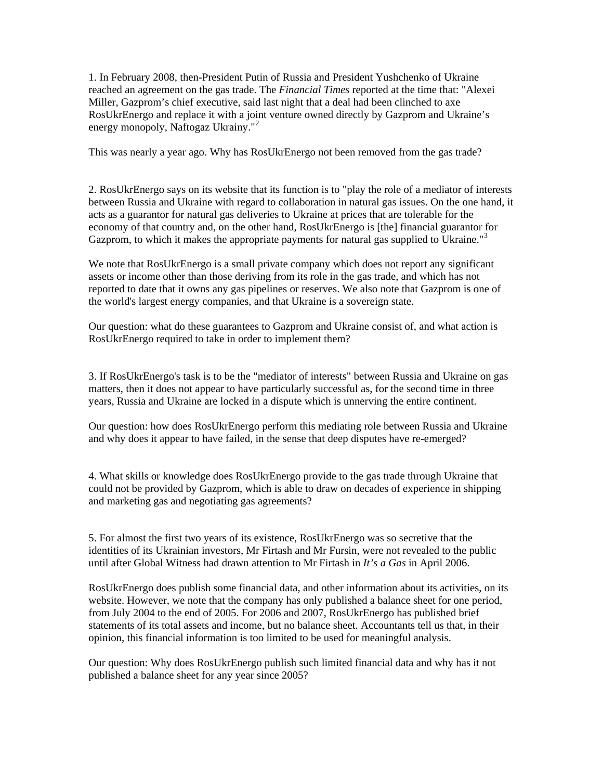1. In February 2008, then-President Putin of Russia and President Yushchenko of Ukraine reached an agreement on the gas trade. The *Financial Times* reported at the time that: "Alexei Miller, Gazprom's chief executive, said last night that a deal had been clinched to axe RosUkrEnergo and replace it with a joint venture owned directly by Gazprom and Ukraine's energy monopoly, Naftogaz Ukrainy."<sup>[2](#page-2-1)</sup>

This was nearly a year ago. Why has RosUkrEnergo not been removed from the gas trade?

2. RosUkrEnergo says on its website that its function is to "play the role of a mediator of interests between Russia and Ukraine with regard to collaboration in natural gas issues. On the one hand, it acts as a guarantor for natural gas deliveries to Ukraine at prices that are tolerable for the economy of that country and, on the other hand, RosUkrEnergo is [the] financial guarantor for Gazprom, to which it makes the appropriate payments for natural gas supplied to Ukraine."<sup>[3](#page-2-1)</sup>

We note that RosUkrEnergo is a small private company which does not report any significant assets or income other than those deriving from its role in the gas trade, and which has not reported to date that it owns any gas pipelines or reserves. We also note that Gazprom is one of the world's largest energy companies, and that Ukraine is a sovereign state.

Our question: what do these guarantees to Gazprom and Ukraine consist of, and what action is RosUkrEnergo required to take in order to implement them?

3. If RosUkrEnergo's task is to be the "mediator of interests" between Russia and Ukraine on gas matters, then it does not appear to have particularly successful as, for the second time in three years, Russia and Ukraine are locked in a dispute which is unnerving the entire continent.

Our question: how does RosUkrEnergo perform this mediating role between Russia and Ukraine and why does it appear to have failed, in the sense that deep disputes have re-emerged?

4. What skills or knowledge does RosUkrEnergo provide to the gas trade through Ukraine that could not be provided by Gazprom, which is able to draw on decades of experience in shipping and marketing gas and negotiating gas agreements?

5. For almost the first two years of its existence, RosUkrEnergo was so secretive that the identities of its Ukrainian investors, Mr Firtash and Mr Fursin, were not revealed to the public until after Global Witness had drawn attention to Mr Firtash in *It's a Gas* in April 2006.

RosUkrEnergo does publish some financial data, and other information about its activities, on its website. However, we note that the company has only published a balance sheet for one period, from July 2004 to the end of 2005. For 2006 and 2007, RosUkrEnergo has published brief statements of its total assets and income, but no balance sheet. Accountants tell us that, in their opinion, this financial information is too limited to be used for meaningful analysis.

Our question: Why does RosUkrEnergo publish such limited financial data and why has it not published a balance sheet for any year since 2005?